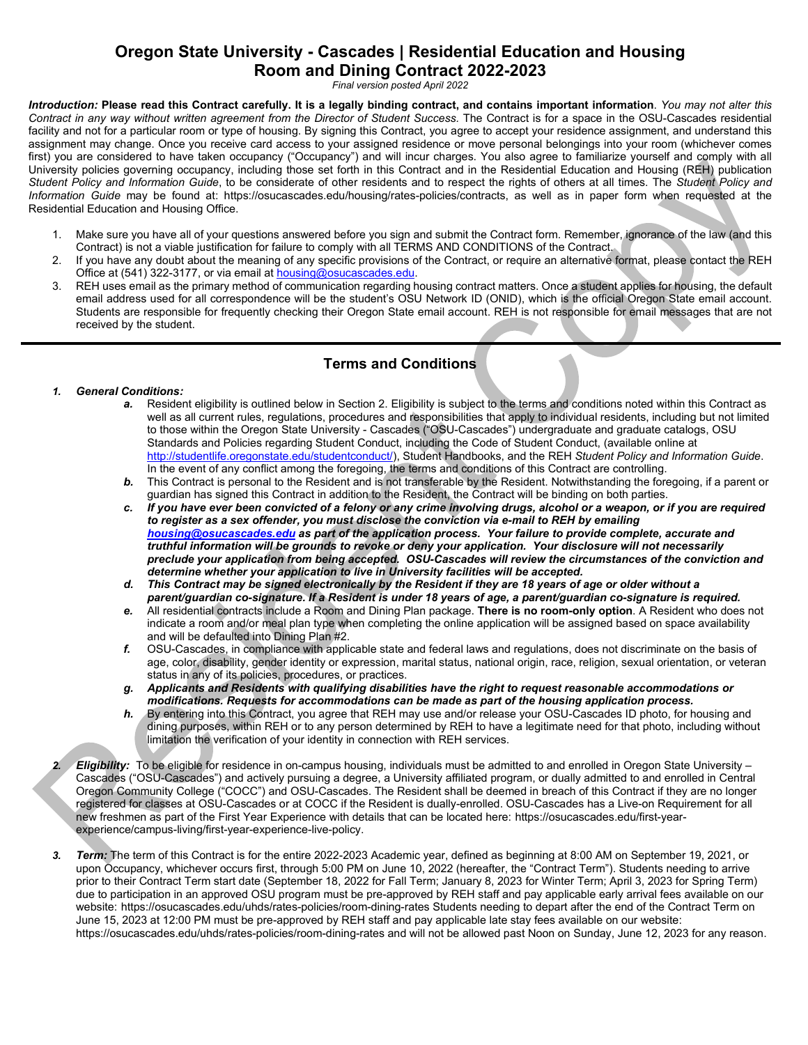# **Oregon State University - Cascades | Residential Education and Housing Room and Dining Contract 2022-2023**

*Final version posted April 2022*

*Introduction:* **Please read this Contract carefully. It is a legally binding contract, and contains important information**. *You may not alter this Contract in any way without written agreement from the Director of Student Success.* The Contract is for a space in the OSU-Cascades residential facility and not for a particular room or type of housing. By signing this Contract, you agree to accept your residence assignment, and understand this assignment may change. Once you receive card access to your assigned residence or move personal belongings into your room (whichever comes first) you are considered to have taken occupancy ("Occupancy") and will incur charges. You also agree to familiarize yourself and comply with all University policies governing occupancy, including those set forth in this Contract and in the Residential Education and Housing (REH) publication *Student Policy and Information Guide*, to be considerate of other residents and to respect the rights of others at all times. The *Student Policy and Information Guide* may be found at: [https://osucascades.edu/housing/rates-policies/contracts,](https://osucascades.edu/housing/rates-policies/contracts) as well as in paper form when requested at the Residential Education and Housing Office.

- 1. Make sure you have all of your questions answered before you sign and submit the Contract form. Remember, ignorance of the law (and this Contract) is not a viable justification for failure to comply with all TERMS AND CONDITIONS of the Contract.
- 2. If you have any doubt about the meaning of any specific provisions of the Contract, or require an alternative format, please contact the REH Office at (541) 322-3177, or via email at **housing@osucascades.edu**.
- 3. REH uses email as the primary method of communication regarding housing contract matters. Once a student applies for housing, the default email address used for all correspondence will be the student's OSU Network ID (ONID), which is the official Oregon State email account. Students are responsible for frequently checking their Oregon State email account. REH is not responsible for email messages that are not received by the student.

# **Terms and Conditions**

# *1. General Conditions:*

- Resident eligibility is outlined below in Section 2. Eligibility is subject to the terms and conditions noted within this Contract as well as all current rules, regulations, procedures and responsibilities that apply to individual residents, including but not limited to those within the Oregon State University - Cascades ("OSU-Cascades") undergraduate and graduate catalogs, OSU Standards and Policies regarding Student Conduct, including the Code of Student Conduct, (available online at [http://studentlife.oregonstate.edu/studentconduct/\)](http://studentlife.oregonstate.edu/studentconduct/), Student Handbooks, and the REH *Student Policy and Information Guide*. In the event of any conflict among the foregoing, the terms and conditions of this Contract are controlling.
- *b.* This Contract is personal to the Resident and is not transferable by the Resident. Notwithstanding the foregoing, if a parent or guardian has signed this Contract in addition to the Resident, the Contract will be binding on both parties.
- *c. If you have ever been convicted of a felony or any crime involving drugs, alcohol or a weapon, or if you are required to register as a sex offender, you must disclose the conviction via e-mail to REH by emailing [housing@osucascades.edu](mailto:housing@osucascades.edu) as part of the application process. Your failure to provide complete, accurate and truthful information will be grounds to revoke or deny your application. Your disclosure will not necessarily preclude your application from being accepted. OSU-Cascades will review the circumstances of the conviction and determine whether your application to live in University facilities will be accepted.*
- *d. This Contract may be signed electronically by the Resident if they are 18 years of age or older without a parent/guardian co-signature. If a Resident is under 18 years of age, a parent/guardian co-signature is required.*
- *e.* All residential contracts include a Room and Dining Plan package. **There is no room-only option**. A Resident who does not indicate a room and/or meal plan type when completing the online application will be assigned based on space availability and will be defaulted into Dining Plan #2.
- *f.* OSU-Cascades, in compliance with applicable state and federal laws and regulations, does not discriminate on the basis of age, color, disability, gender identity or expression, marital status, national origin, race, religion, sexual orientation, or veteran status in any of its policies, procedures, or practices.
- *g. Applicants and Residents with qualifying disabilities have the right to request reasonable accommodations or modifications. Requests for accommodations can be made as part of the housing application process.*
- *h.* By entering into this Contract, you agree that REH may use and/or release your OSU-Cascades ID photo, for housing and dining purposes, within REH or to any person determined by REH to have a legitimate need for that photo, including without limitation the verification of your identity in connection with REH services.
- *2. Eligibility:* To be eligible for residence in on-campus housing, individuals must be admitted to and enrolled in Oregon State University Cascades ("OSU-Cascades") and actively pursuing a degree, a University affiliated program, or dually admitted to and enrolled in Central Oregon Community College ("COCC") and OSU-Cascades. The Resident shall be deemed in breach of this Contract if they are no longer registered for classes at OSU-Cascades or at COCC if the Resident is dually-enrolled. OSU-Cascades has a Live-on Requirement for all new freshmen as part of the First Year Experience with details that can be located here: [https://osucascades.edu/first-year](https://osucascades.edu/first-year-experience/campus-living/first-year-experience-live-policy)[experience/campus-living/first-year-experience-live-policy.](https://osucascades.edu/first-year-experience/campus-living/first-year-experience-live-policy)
- *3. Term:* The term of this Contract is for the entire 2022-2023 Academic year, defined as beginning at 8:00 AM on September 19, 2021, or upon Occupancy, whichever occurs first, through 5:00 PM on June 10, 2022 (hereafter, the "Contract Term"). Students needing to arrive prior to their Contract Term start date (September 18, 2022 for Fall Term; January 8, 2023 for Winter Term; April 3, 2023 for Spring Term) due to participation in an approved OSU program must be pre-approved by REH staff and pay applicable early arrival fees available on our website: <https://osucascades.edu/uhds/rates-policies/room-dining-rates> Students needing to depart after the end of the Contract Term on June 15, 2023 at 12:00 PM must be pre-approved by REH staff and pay applicable late stay fees available on our website: <https://osucascades.edu/uhds/rates-policies/room-dining-rates> and will not be allowed past Noon on Sunday, June 12, 2023 for any reason.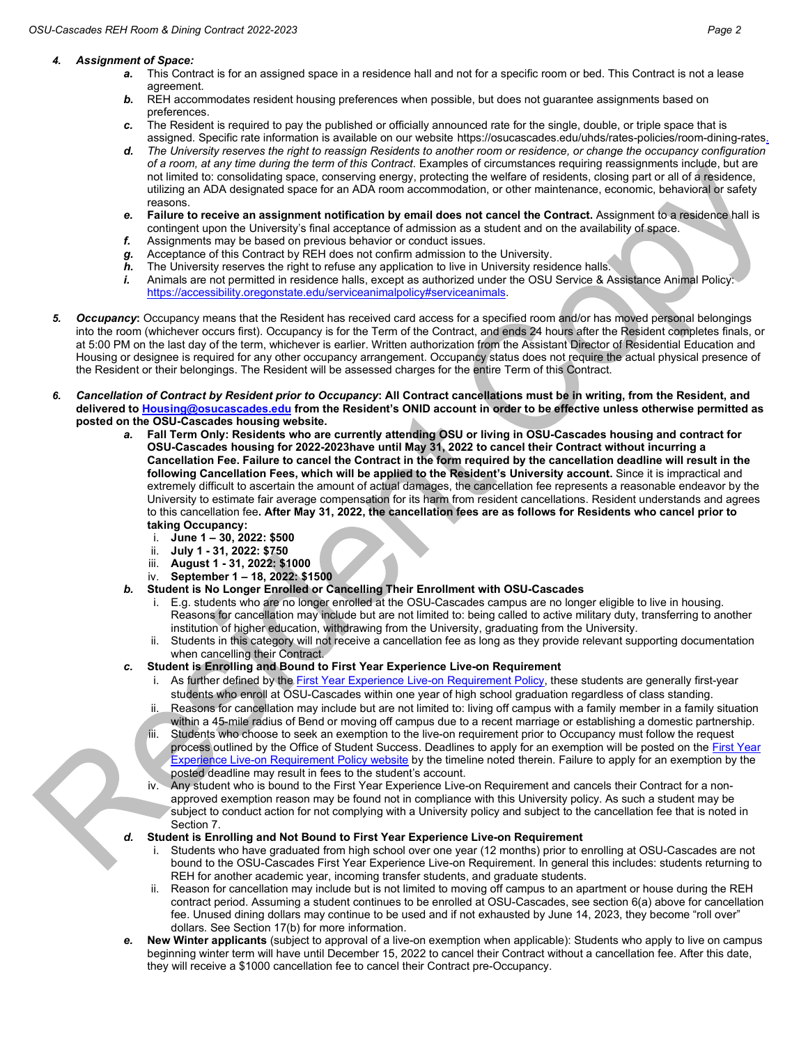### *4. Assignment of Space:*

- *a.* This Contract is for an assigned space in a residence hall and not for a specific room or bed. This Contract is not a lease agreement.
- **b.** REH accommodates resident housing preferences when possible, but does not guarantee assignments based on preferences.
- *c.* The Resident is required to pay the published or officially announced rate for the single, double, or triple space that is assigned. Specific rate information is available on our website [https://osucascades.edu/uhds/rates-policies/room-dining-rates.](https://osucascades.edu/uhds/rates-policies/room-dining-rates)
- *d. The University reserves the right to reassign Residents to another room or residence, or change the occupancy configuration of a room, at any time during the term of this Contract*. Examples of circumstances requiring reassignments include, but are not limited to: consolidating space, conserving energy, protecting the welfare of residents, closing part or all of a residence, utilizing an ADA designated space for an ADA room accommodation, or other maintenance, economic, behavioral or safety reasons.
- *e.* **Failure to receive an assignment notification by email does not cancel the Contract.** Assignment to a residence hall is contingent upon the University's final acceptance of admission as a student and on the availability of space.
- *f.* Assignments may be based on previous behavior or conduct issues.
- *g.* Acceptance of this Contract by REH does not confirm admission to the University.
- *h.* The University reserves the right to refuse any application to live in University residence halls.
- *i.* Animals are not permitted in residence halls, except as authorized under the OSU Service & Assistance Animal Policy: [https://accessibility.oregonstate.edu/serviceanimalpolicy#serviceanimals.](https://accessibility.oregonstate.edu/serviceanimalpolicy#serviceanimals)
- *5. Occupancy***:** Occupancy means that the Resident has received card access for a specified room and/or has moved personal belongings into the room (whichever occurs first). Occupancy is for the Term of the Contract, and ends 24 hours after the Resident completes finals, or at 5:00 PM on the last day of the term, whichever is earlier. Written authorization from the Assistant Director of Residential Education and Housing or designee is required for any other occupancy arrangement. Occupancy status does not require the actual physical presence of the Resident or their belongings. The Resident will be assessed charges for the entire Term of this Contract.
- *6. Cancellation of Contract by Resident prior to Occupancy***: All Contract cancellations must be in writing, from the Resident, and delivered t[o Housing@osucascades.edu](mailto:Housing@osucascades.edu) from the Resident's ONID account in order to be effective unless otherwise permitted as posted on the OSU-Cascades housing website.** 
	- *a.* **Fall Term Only: Residents who are currently attending OSU or living in OSU-Cascades housing and contract for OSU-Cascades housing for 2022-2023have until May 31, 2022 to cancel their Contract without incurring a Cancellation Fee. Failure to cancel the Contract in the form required by the cancellation deadline will result in the following Cancellation Fees, which will be applied to the Resident's University account.** Since it is impractical and extremely difficult to ascertain the amount of actual damages, the cancellation fee represents a reasonable endeavor by the University to estimate fair average compensation for its harm from resident cancellations. Resident understands and agrees to this cancellation fee**. After May 31, 2022, the cancellation fees are as follows for Residents who cancel prior to taking Occupancy:**
		- i. **June 1 – 30, 2022: \$500**
		- ii. **July 1 - 31, 2022: \$750**
		- iii. **August 1 - 31, 2022: \$1000**
		- iv. **September 1 – 18, 2022: \$1500**
	- *b.* **Student is No Longer Enrolled or Cancelling Their Enrollment with OSU-Cascades**
		- i. E.g. students who are no longer enrolled at the OSU-Cascades campus are no longer eligible to live in housing. Reasons for cancellation may include but are not limited to: being called to active military duty, transferring to another institution of higher education, withdrawing from the University, graduating from the University.
		- ii. Students in this category will not receive a cancellation fee as long as they provide relevant supporting documentation when cancelling their Contract.
	- *c.* **Student is Enrolling and Bound to First Year Experience Live-on Requirement**
		- i. As further defined by th[e First Year Experience Live-on Requirement Policy,](https://osucascades.edu/first-year-experience/campus-living/first-year-experience-live-policy) these students are generally first-year students who enroll at OSU-Cascades within one year of high school graduation regardless of class standing.
		- ii. Reasons for cancellation may include but are not limited to: living off campus with a family member in a family situation within a 45-mile radius of Bend or moving off campus due to a recent marriage or establishing a domestic partnership.
		- iii. Students who choose to seek an exemption to the live-on requirement prior to Occupancy must follow the request process outlined by the Office of Student Success. Deadlines to apply for an exemption will be posted on the First Year [Experience Live-on Requirement Policy](https://osucascades.edu/first-year-experience/campus-living/first-year-experience-live-policy) website by the timeline noted therein. Failure to apply for an exemption by the posted deadline may result in fees to the student's account.
		- iv. Any student who is bound to the First Year Experience Live-on Requirement and cancels their Contract for a nonapproved exemption reason may be found not in compliance with this University policy. As such a student may be subject to conduct action for not complying with a University policy and subject to the cancellation fee that is noted in Section 7.
	- *d.* **Student is Enrolling and Not Bound to First Year Experience Live-on Requirement**
		- i. Students who have graduated from high school over one year (12 months) prior to enrolling at OSU-Cascades are not bound to the OSU-Cascades First Year Experience Live-on Requirement. In general this includes: students returning to REH for another academic year, incoming transfer students, and graduate students.
		- ii. Reason for cancellation may include but is not limited to moving off campus to an apartment or house during the REH contract period. Assuming a student continues to be enrolled at OSU-Cascades, see section 6(a) above for cancellation fee. Unused dining dollars may continue to be used and if not exhausted by June 14, 2023, they become "roll over" dollars. See Section 17(b) for more information.
	- *e.* **New Winter applicants** (subject to approval of a live-on exemption when applicable): Students who apply to live on campus beginning winter term will have until December 15, 2022 to cancel their Contract without a cancellation fee. After this date, they will receive a \$1000 cancellation fee to cancel their Contract pre-Occupancy.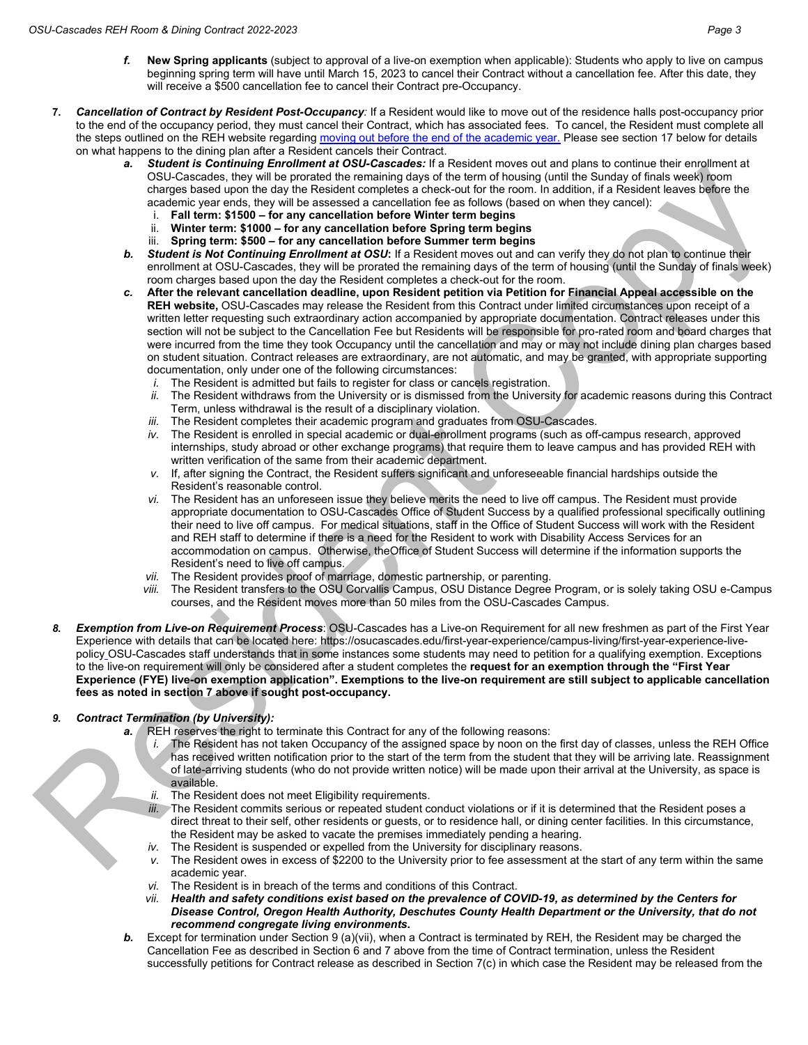- *f.* **New Spring applicants** (subject to approval of a live-on exemption when applicable): Students who apply to live on campus beginning spring term will have until March 15, 2023 to cancel their Contract without a cancellation fee. After this date, they will receive a \$500 cancellation fee to cancel their Contract pre-Occupancy.
- **7.** *Cancellation of Contract by Resident Post-Occupancy:* If a Resident would like to move out of the residence halls post-occupancy prior to the end of the occupancy period, they must cancel their Contract, which has associated fees. To cancel, the Resident must complete all the steps outlined on the REH website regardin[g moving out before the end of the academic year.](https://osucascades.edu/uhds/rates-policies/moving-out) Please see section 17 below for details on what happens to the dining plan after a Resident cancels their Contract.
	- *a. Student is Continuing Enrollment at OSU-Cascades:* If a Resident moves out and plans to continue their enrollment at OSU-Cascades, they will be prorated the remaining days of the term of housing (until the Sunday of finals week) room charges based upon the day the Resident completes a check-out for the room. In addition, if a Resident leaves before the academic year ends, they will be assessed a cancellation fee as follows (based on when they cancel):
		- i. **Fall term: \$1500 – for any cancellation before Winter term begins**
		- ii. **Winter term: \$1000 – for any cancellation before Spring term begins**
		- iii. **Spring term: \$500 – for any cancellation before Summer term begins**
	- **b.** Student is Not Continuing Enrollment at OSU: If a Resident moves out and can verify they do not plan to continue their enrollment at OSU-Cascades, they will be prorated the remaining days of the term of housing (until the Sunday of finals week) room charges based upon the day the Resident completes a check-out for the room.
	- *c.* **After the relevant cancellation deadline, upon Resident petition via Petition for Financial Appeal accessible on the REH website,** OSU-Cascades may release the Resident from this Contract under limited circumstances upon receipt of a written letter requesting such extraordinary action accompanied by appropriate documentation. Contract releases under this section will not be subject to the Cancellation Fee but Residents will be responsible for pro-rated room and board charges that were incurred from the time they took Occupancy until the cancellation and may or may not include dining plan charges based on student situation. Contract releases are extraordinary, are not automatic, and may be granted, with appropriate supporting documentation, only under one of the following circumstances:
		- *i.* The Resident is admitted but fails to register for class or cancels registration.
		- *ii.* The Resident withdraws from the University or is dismissed from the University for academic reasons during this Contract Term, unless withdrawal is the result of a disciplinary violation.
		- *iii.* The Resident completes their academic program and graduates from OSU-Cascades.
		- *iv.* The Resident is enrolled in special academic or dual-enrollment programs (such as off-campus research, approved internships, study abroad or other exchange programs) that require them to leave campus and has provided REH with written verification of the same from their academic department.
		- *v.* If, after signing the Contract, the Resident suffers significant and unforeseeable financial hardships outside the Resident's reasonable control.
		- *vi.* The Resident has an unforeseen issue they believe merits the need to live off campus. The Resident must provide appropriate documentation to OSU-Cascades Office of Student Success by a qualified professional specifically outlining their need to live off campus. For medical situations, staff in the Office of Student Success will work with the Resident and REH staff to determine if there is a need for the Resident to work with Disability Access Services for an accommodation on campus. Otherwise, theOffice of Student Success will determine if the information supports the Resident's need to live off campus.
		- *vii.* The Resident provides proof of marriage, domestic partnership, or parenting.
		- *viii.* The Resident transfers to the OSU Corvallis Campus, OSU Distance Degree Program, or is solely taking OSU e-Campus courses, and the Resident moves more than 50 miles from the OSU-Cascades Campus.
- *8. Exemption from Live-on Requirement Process*: OSU-Cascades has a Live-on Requirement for all new freshmen as part of the First Year Experience with details that can be located here: [https://osucascades.edu/first-year-experience/campus-living/first-year-experience-live](https://osucascades.edu/first-year-experience/campus-living/first-year-experience-live-policy)[policy](https://osucascades.edu/first-year-experience/campus-living/first-year-experience-live-policy) OSU-Cascades staff understands that in some instances some students may need to petition for a qualifying exemption. Exceptions to the live-on requirement will only be considered after a student completes the **request for an exemption through the "First Year Experience (FYE) live-on exemption application". Exemptions to the live-on requirement are still subject to applicable cancellation fees as noted in section 7 above if sought post-occupancy.**

## *9. Contract Termination (by University):*

- *a.* REH reserves the right to terminate this Contract for any of the following reasons:
	- *i.* The Resident has not taken Occupancy of the assigned space by noon on the first day of classes, unless the REH Office has received written notification prior to the start of the term from the student that they will be arriving late. Reassignment of late-arriving students (who do not provide written notice) will be made upon their arrival at the University, as space is available.
	- *ii.* The Resident does not meet Eligibility requirements.
	- *iii.* The Resident commits serious or repeated student conduct violations or if it is determined that the Resident poses a direct threat to their self, other residents or guests, or to residence hall, or dining center facilities. In this circumstance, the Resident may be asked to vacate the premises immediately pending a hearing.
	- *iv.* The Resident is suspended or expelled from the University for disciplinary reasons.
	- *v.* The Resident owes in excess of \$2200 to the University prior to fee assessment at the start of any term within the same academic year.
	- *vi.* The Resident is in breach of the terms and conditions of this Contract.<br>vii. Health and safety conditions exist based on the prevalence of CO
	- *vii. Health and safety conditions exist based on the prevalence of COVID-19, as determined by the Centers for Disease Control, Oregon Health Authority, Deschutes County Health Department or the University, that do not recommend congregate living environments.*
- **b.** Except for termination under Section 9 (a)(vii), when a Contract is terminated by REH, the Resident may be charged the Cancellation Fee as described in Section 6 and 7 above from the time of Contract termination, unless the Resident successfully petitions for Contract release as described in Section 7(c) in which case the Resident may be released from the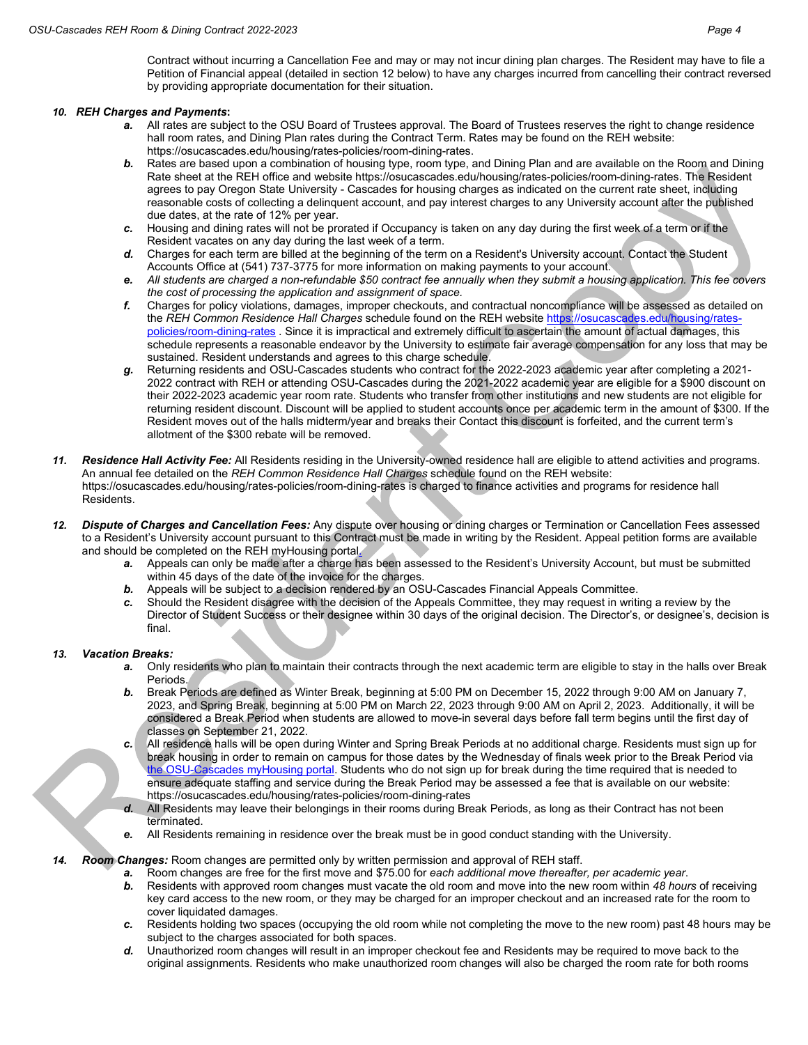Contract without incurring a Cancellation Fee and may or may not incur dining plan charges. The Resident may have to file a Petition of Financial appeal (detailed in section 12 below) to have any charges incurred from cancelling their contract reversed by providing appropriate documentation for their situation.

#### *10. REH Charges and Payments***:**

- *a.* All rates are subject to the OSU Board of Trustees approval. The Board of Trustees reserves the right to change residence hall room rates, and Dining Plan rates during the Contract Term. Rates may be found on the REH website: [https://osucascades.edu/housing/rates-policies/room-dining-rates.](https://osucascades.edu/housing/rates-policies/room-dining-rates)
- *b.* Rates are based upon a combination of housing type, room type, and Dining Plan and are available on the Room and Dining Rate sheet at the REH office and website [https://osucascades.edu/housing/rates-policies/room-dining-rates.](https://osucascades.edu/housing/rates-policies/room-dining-rates) The Resident agrees to pay Oregon State University - Cascades for housing charges as indicated on the current rate sheet, including reasonable costs of collecting a delinquent account, and pay interest charges to any University account after the published due dates, at the rate of 12% per year.
- *c.* Housing and dining rates will not be prorated if Occupancy is taken on any day during the first week of a term or if the Resident vacates on any day during the last week of a term.
- *d.* Charges for each term are billed at the beginning of the term on a Resident's University account. Contact the Student Accounts Office at (541) 737-3775 for more information on making payments to your account.
- *e. All students are charged a non-refundable \$50 contract fee annually when they submit a housing application. This fee covers the cost of processing the application and assignment of space.*
- *f.* Charges for policy violations, damages, improper checkouts, and contractual noncompliance will be assessed as detailed on the *REH Common Residence Hall Charges* schedule found on the REH website [https://osucascades.edu/housing/rates](https://osucascades.edu/housing/rates-policies/room-dining-rates)[policies/room-dining-rates](https://osucascades.edu/housing/rates-policies/room-dining-rates) . Since it is impractical and extremely difficult to ascertain the amount of actual damages, this schedule represents a reasonable endeavor by the University to estimate fair average compensation for any loss that may be sustained. Resident understands and agrees to this charge schedule.
- *g.* Returning residents and OSU-Cascades students who contract for the 2022-2023 academic year after completing a 2021- 2022 contract with REH or attending OSU-Cascades during the 2021-2022 academic year are eligible for a \$900 discount on their 2022-2023 academic year room rate. Students who transfer from other institutions and new students are not eligible for returning resident discount. Discount will be applied to student accounts once per academic term in the amount of \$300. If the Resident moves out of the halls midterm/year and breaks their Contact this discount is forfeited, and the current term's allotment of the \$300 rebate will be removed.
- *11. Residence Hall Activity Fee:* All Residents residing in the University-owned residence hall are eligible to attend activities and programs. An annual fee detailed on the *REH Common Residence Hall Charges* schedule found on the REH website: <https://osucascades.edu/housing/rates-policies/room-dining-rates> is charged to finance activities and programs for residence hall Residents.
- *12. Dispute of Charges and Cancellation Fees:* Any dispute over housing or dining charges or Termination or Cancellation Fees assessed to a Resident's University account pursuant to this Contract must be made in writing by the Resident. Appeal petition forms are available and should be completed on the REH myHousing portal.
	- *a.* Appeals can only be made after a charge has been assessed to the Resident's University Account, but must be submitted within 45 days of the date of the invoice for the charges.
	- **b.** Appeals will be subject to a decision rendered by an OSU-Cascades Financial Appeals Committee.
	- *c.* Should the Resident disagree with the decision of the Appeals Committee, they may request in writing a review by the Director of Student Success or their designee within 30 days of the original decision. The Director's, or designee's, decision is final.

## *13. Vacation Breaks:*

- *a.* Only residents who plan to maintain their contracts through the next academic term are eligible to stay in the halls over Break Periods.
- *b.* Break Periods are defined as Winter Break, beginning at 5:00 PM on December 15, 2022 through 9:00 AM on January 7, 2023, and Spring Break, beginning at 5:00 PM on March 22, 2023 through 9:00 AM on April 2, 2023. Additionally, it will be considered a Break Period when students are allowed to move-in several days before fall term begins until the first day of classes on September 21, 2022.
- *c.* All residence halls will be open during Winter and Spring Break Periods at no additional charge. Residents must sign up for break housing in order to remain on campus for those dates by the Wednesday of finals week prior to the Break Period via the OSU-Cascades myHousing portal. Students who do not sign up for break during the time required that is needed to ensure adequate staffing and service during the Break Period may be assessed a fee that is available on our website: <https://osucascades.edu/housing/rates-policies/room-dining-rates>
- *d.* All Residents may leave their belongings in their rooms during Break Periods, as long as their Contract has not been terminated.
- *e.* All Residents remaining in residence over the break must be in good conduct standing with the University.

#### *14. Room Changes:* Room changes are permitted only by written permission and approval of REH staff.

- *a.* Room changes are free for the first move and \$75.00 for *each additional move thereafter, per academic year*.
- *b.* Residents with approved room changes must vacate the old room and move into the new room within *48 hours* of receiving key card access to the new room, or they may be charged for an improper checkout and an increased rate for the room to cover liquidated damages.
- *c.* Residents holding two spaces (occupying the old room while not completing the move to the new room) past 48 hours may be subject to the charges associated for both spaces.
- *d.* Unauthorized room changes will result in an improper checkout fee and Residents may be required to move back to the original assignments. Residents who make unauthorized room changes will also be charged the room rate for both rooms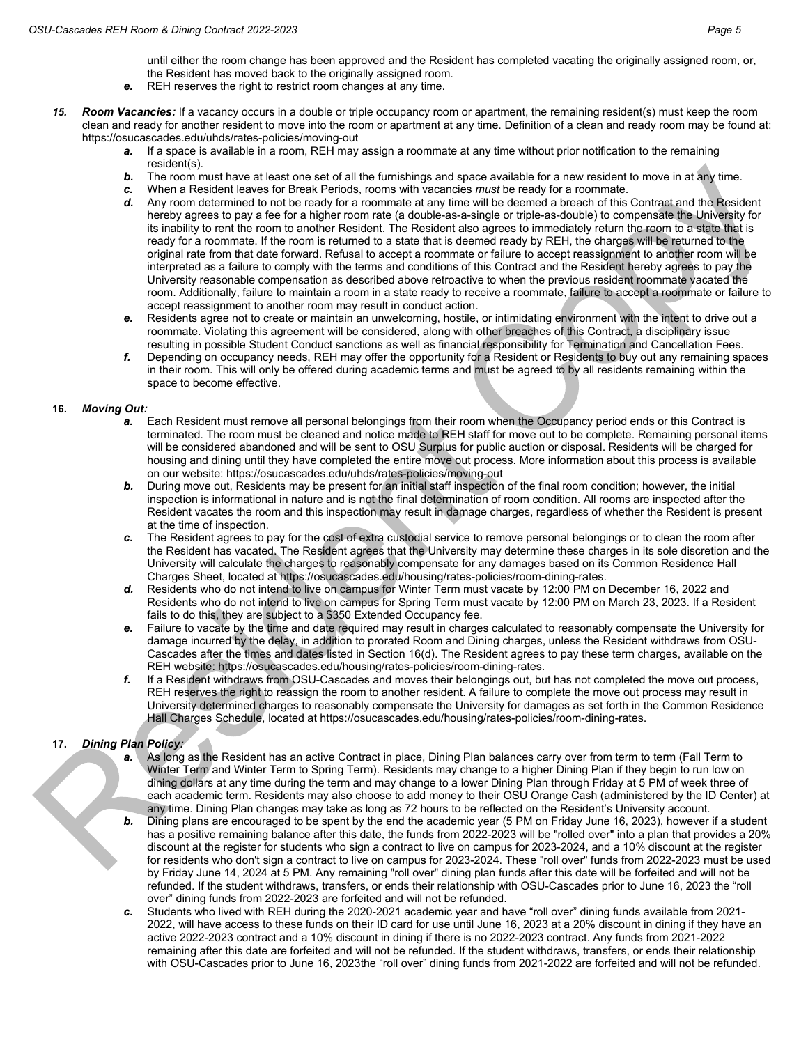until either the room change has been approved and the Resident has completed vacating the originally assigned room, or, the Resident has moved back to the originally assigned room.

- *e.* REH reserves the right to restrict room changes at any time.
- *15. Room Vacancies:* If a vacancy occurs in a double or triple occupancy room or apartment, the remaining resident(s) must keep the room clean and ready for another resident to move into the room or apartment at any time. Definition of a clean and ready room may be found at: <https://osucascades.edu/uhds/rates-policies/moving-out>
	- *a.* If a space is available in a room, REH may assign a roommate at any time without prior notification to the remaining resident(s).
	- *b.* The room must have at least one set of all the furnishings and space available for a new resident to move in at any time.
	- *c.* When a Resident leaves for Break Periods, rooms with vacancies *must* be ready for a roommate.
	- *d.* Any room determined to not be ready for a roommate at any time will be deemed a breach of this Contract and the Resident hereby agrees to pay a fee for a higher room rate (a double-as-a-single or triple-as-double) to compensate the University for its inability to rent the room to another Resident. The Resident also agrees to immediately return the room to a state that is ready for a roommate. If the room is returned to a state that is deemed ready by REH, the charges will be returned to the original rate from that date forward. Refusal to accept a roommate or failure to accept reassignment to another room will be interpreted as a failure to comply with the terms and conditions of this Contract and the Resident hereby agrees to pay the University reasonable compensation as described above retroactive to when the previous resident roommate vacated the room. Additionally, failure to maintain a room in a state ready to receive a roommate, failure to accept a roommate or failure to accept reassignment to another room may result in conduct action.
	- *e.* Residents agree not to create or maintain an unwelcoming, hostile, or intimidating environment with the intent to drive out a roommate. Violating this agreement will be considered, along with other breaches of this Contract, a disciplinary issue resulting in possible Student Conduct sanctions as well as financial responsibility for Termination and Cancellation Fees.
	- *f.* Depending on occupancy needs, REH may offer the opportunity for a Resident or Residents to buy out any remaining spaces in their room. This will only be offered during academic terms and must be agreed to by all residents remaining within the space to become effective.

#### **16.** *Moving Out:*

- *a.* Each Resident must remove all personal belongings from their room when the Occupancy period ends or this Contract is terminated. The room must be cleaned and notice made to REH staff for move out to be complete. Remaining personal items will be considered abandoned and will be sent to OSU Surplus for public auction or disposal. Residents will be charged for housing and dining until they have completed the entire move out process. More information about this process is available on our website[: https://osucascades.edu/uhds/rates-policies/moving-out](https://osucascades.edu/uhds/rates-policies/moving-out)
- *b.* During move out, Residents may be present for an initial staff inspection of the final room condition; however, the initial inspection is informational in nature and is not the final determination of room condition. All rooms are inspected after the Resident vacates the room and this inspection may result in damage charges, regardless of whether the Resident is present at the time of inspection.
- *c.* The Resident agrees to pay for the cost of extra custodial service to remove personal belongings or to clean the room after the Resident has vacated. The Resident agrees that the University may determine these charges in its sole discretion and the University will calculate the charges to reasonably compensate for any damages based on its Common Residence Hall Charges Sheet, located at [https://osucascades.edu/housing/rates-policies/room-dining-rates.](https://osucascades.edu/housing/rates-policies/room-dining-rates)
- *d.* Residents who do not intend to live on campus for Winter Term must vacate by 12:00 PM on December 16, 2022 and Residents who do not intend to live on campus for Spring Term must vacate by 12:00 PM on March 23, 2023. If a Resident fails to do this, they are subject to a \$350 Extended Occupancy fee.
- *e.* Failure to vacate by the time and date required may result in charges calculated to reasonably compensate the University for damage incurred by the delay, in addition to prorated Room and Dining charges, unless the Resident withdraws from OSU-Cascades after the times and dates listed in Section 16(d). The Resident agrees to pay these term charges, available on the REH website[: https://osucascades.edu/housing/rates-policies/room-dining-rates.](https://osucascades.edu/housing/rates-policies/room-dining-rates)
- *f.* If a Resident withdraws from OSU-Cascades and moves their belongings out, but has not completed the move out process, REH reserves the right to reassign the room to another resident. A failure to complete the move out process may result in University determined charges to reasonably compensate the University for damages as set forth in the Common Residence Hall Charges Schedule, located a[t https://osucascades.edu/housing/rates-policies/room-dining-rates.](https://osucascades.edu/housing/rates-policies/room-dining-rates)

## **17.** *Dining Plan Policy:*

- *a.* As long as the Resident has an active Contract in place, Dining Plan balances carry over from term to term (Fall Term to Winter Term and Winter Term to Spring Term). Residents may change to a higher Dining Plan if they begin to run low on dining dollars at any time during the term and may change to a lower Dining Plan through Friday at 5 PM of week three of each academic term. Residents may also choose to add money to their OSU Orange Cash (administered by the ID Center) at any time. Dining Plan changes may take as long as 72 hours to be reflected on the Resident's University account.
- *b.* Dining plans are encouraged to be spent by the end the academic year (5 PM on Friday June 16, 2023), however if a student has a positive remaining balance after this date, the funds from 2022-2023 will be "rolled over" into a plan that provides a 20% discount at the register for students who sign a contract to live on campus for 2023-2024, and a 10% discount at the register for residents who don't sign a contract to live on campus for 2023-2024. These "roll over" funds from 2022-2023 must be used by Friday June 14, 2024 at 5 PM. Any remaining "roll over" dining plan funds after this date will be forfeited and will not be refunded. If the student withdraws, transfers, or ends their relationship with OSU-Cascades prior to June 16, 2023 the "roll over" dining funds from 2022-2023 are forfeited and will not be refunded.
- *c.* Students who lived with REH during the 2020-2021 academic year and have "roll over" dining funds available from 2021- 2022, will have access to these funds on their ID card for use until June 16, 2023 at a 20% discount in dining if they have an active 2022-2023 contract and a 10% discount in dining if there is no 2022-2023 contract. Any funds from 2021-2022 remaining after this date are forfeited and will not be refunded. If the student withdraws, transfers, or ends their relationship with OSU-Cascades prior to June 16, 2023the "roll over" dining funds from 2021-2022 are forfeited and will not be refunded.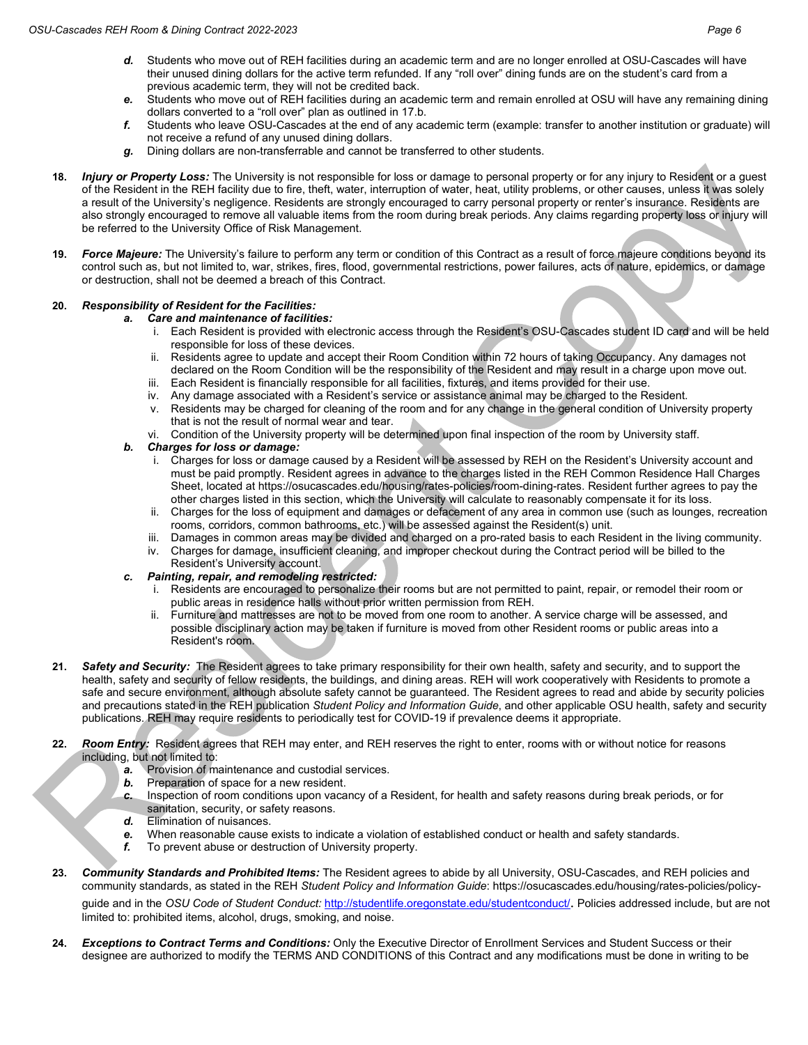- *d.* Students who move out of REH facilities during an academic term and are no longer enrolled at OSU-Cascades will have their unused dining dollars for the active term refunded. If any "roll over" dining funds are on the student's card from a previous academic term, they will not be credited back.
- *e.* Students who move out of REH facilities during an academic term and remain enrolled at OSU will have any remaining dining dollars converted to a "roll over" plan as outlined in 17.b.
- *f.* Students who leave OSU-Cascades at the end of any academic term (example: transfer to another institution or graduate) will not receive a refund of any unused dining dollars.
- *g.* Dining dollars are non-transferrable and cannot be transferred to other students.
- **18.** *Injury or Property Loss:* The University is not responsible for loss or damage to personal property or for any injury to Resident or a guest of the Resident in the REH facility due to fire, theft, water, interruption of water, heat, utility problems, or other causes, unless it was solely a result of the University's negligence. Residents are strongly encouraged to carry personal property or renter's insurance. Residents are also strongly encouraged to remove all valuable items from the room during break periods. Any claims regarding property loss or injury will be referred to the University Office of Risk Management.
- **19.** *Force Majeure:* The University's failure to perform any term or condition of this Contract as a result of force majeure conditions beyond its control such as, but not limited to, war, strikes, fires, flood, governmental restrictions, power failures, acts of nature, epidemics, or damage or destruction, shall not be deemed a breach of this Contract.

## **20.** *Responsibility of Resident for the Facilities:*

*a. Care and maintenance of facilities:*

- i. Each Resident is provided with electronic access through the Resident's OSU-Cascades student ID card and will be held responsible for loss of these devices.
- ii. Residents agree to update and accept their Room Condition within 72 hours of taking Occupancy. Any damages not declared on the Room Condition will be the responsibility of the Resident and may result in a charge upon move out.
- iii. Each Resident is financially responsible for all facilities, fixtures, and items provided for their use.
- iv. Any damage associated with a Resident's service or assistance animal may be charged to the Resident.
- v. Residents may be charged for cleaning of the room and for any change in the general condition of University property that is not the result of normal wear and tear.
- vi. Condition of the University property will be determined upon final inspection of the room by University staff.
- *b. Charges for loss or damage:*
	- i. Charges for loss or damage caused by a Resident will be assessed by REH on the Resident's University account and must be paid promptly. Resident agrees in advance to the charges listed in the REH Common Residence Hall Charges Sheet, located at [https://osucascades.edu/housing/rates-policies/room-dining-rates.](https://osucascades.edu/housing/rates-policies/room-dining-rates) Resident further agrees to pay the other charges listed in this section, which the University will calculate to reasonably compensate it for its loss.
	- ii. Charges for the loss of equipment and damages or defacement of any area in common use (such as lounges, recreation rooms, corridors, common bathrooms, etc.) will be assessed against the Resident(s) unit.
	- iii. Damages in common areas may be divided and charged on a pro-rated basis to each Resident in the living community.
	- iv. Charges for damage, insufficient cleaning, and improper checkout during the Contract period will be billed to the Resident's University account.
- *c. Painting, repair, and remodeling restricted:*
	- i. Residents are encouraged to personalize their rooms but are not permitted to paint, repair, or remodel their room or public areas in residence halls without prior written permission from REH.
	- ii. Furniture and mattresses are not to be moved from one room to another. A service charge will be assessed, and possible disciplinary action may be taken if furniture is moved from other Resident rooms or public areas into a Resident's room.
- **21.** *Safety and Security:* The Resident agrees to take primary responsibility for their own health, safety and security, and to support the health, safety and security of fellow residents, the buildings, and dining areas. REH will work cooperatively with Residents to promote a safe and secure environment, although absolute safety cannot be guaranteed. The Resident agrees to read and abide by security policies and precautions stated in the REH publication *Student Policy and Information Guide*, and other applicable OSU health, safety and security publications. REH may require residents to periodically test for COVID-19 if prevalence deems it appropriate.
- **22.** *Room Entry:* Resident agrees that REH may enter, and REH reserves the right to enter, rooms with or without notice for reasons including, but not limited to:
	- *a.* Provision of maintenance and custodial services.
	- *b.* Preparation of space for a new resident.
	- *c.* Inspection of room conditions upon vacancy of a Resident, for health and safety reasons during break periods, or for sanitation, security, or safety reasons.
	- *d.* Elimination of nuisances.
	- *e.* When reasonable cause exists to indicate a violation of established conduct or health and safety standards.
	- *f.* To prevent abuse or destruction of University property.
- **23.** *Community Standards and Prohibited Items:* The Resident agrees to abide by all University, OSU-Cascades, and REH policies and community standards, as stated in the REH *Student Policy and Information Guide*: [https://osucascades.edu/housing/rates-policies/policy](https://osucascades.edu/housing/rates-policies/policy-guide)[guide](https://osucascades.edu/housing/rates-policies/policy-guide) and in the *OSU Code of Student Conduct:* <http://studentlife.oregonstate.edu/studentconduct/>. Policies addressed include, but are not limited to: prohibited items, alcohol, drugs, smoking, and noise.
- **24.** *Exceptions to Contract Terms and Conditions:* Only the Executive Director of Enrollment Services and Student Success or their designee are authorized to modify the TERMS AND CONDITIONS of this Contract and any modifications must be done in writing to be